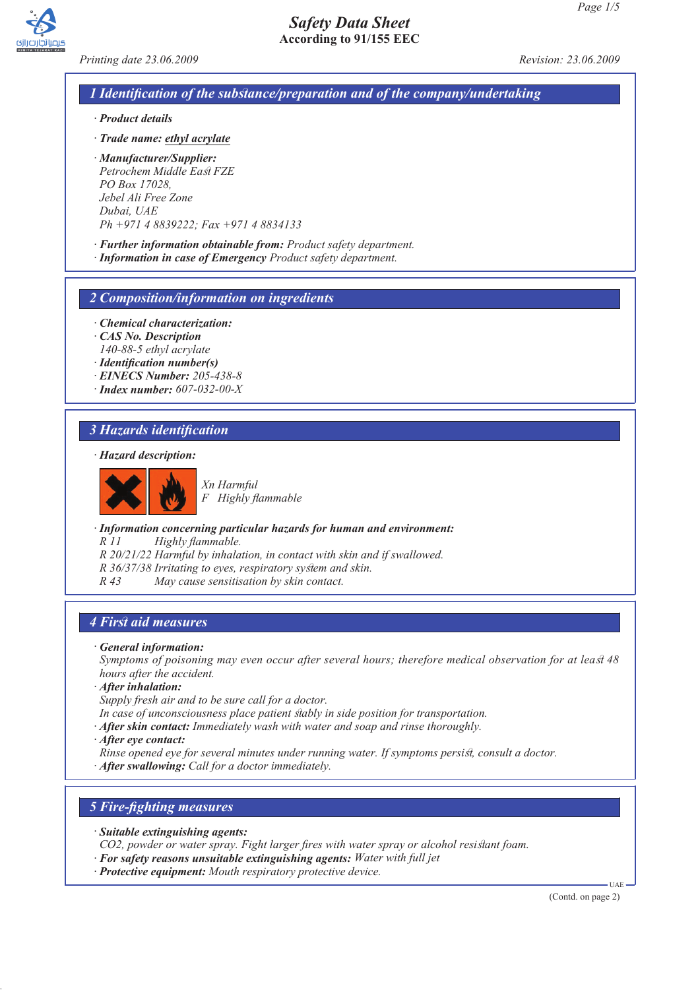

*Printing date 23.06.2009 Revision: 23.06.2009*

## *1 Identification of the substance/preparation and of the company/undertaking*

- *· Product details*
- *· Trade name: ethyl acrylate*
- *· Manufacturer/Supplier: Petrochem Middle East FZE PO Box 17028, Jebel Ali Free Zone Dubai, UAE Ph +971 4 8839222; Fax +971 4 8834133*
- *· Further information obtainable from: Product safety department.*
- *· Information in case of Emergency Product safety department.*

### *2 Composition/information on ingredients*

- *· Chemical characterization:*
- *· CAS No. Description 140-88-5 ethyl acrylate*
- *· Identification number(s)*
- *· EINECS Number: 205-438-8*
- *· Index number: 607-032-00-X*

## *3 Hazards identification*

*· Hazard description:*



*Xn Harmful F Highly flammable*

*· Information concerning particular hazards for human and environment:*

*R 11 Highly flammable.*

- *R 20/21/22 Harmful by inhalation, in contact with skin and if swallowed.*
- *R 36/37/38 Irritating to eyes, respiratory system and skin.*
- *R 43 May cause sensitisation by skin contact.*

### *4 First aid measures*

- *· General information:*
- *Symptoms of poisoning may even occur after several hours; therefore medical observation for at least 48 hours after the accident.*
- *· After inhalation:*

*Supply fresh air and to be sure call for a doctor.*

- *In case of unconsciousness place patient stably in side position for transportation.*
- *· After skin contact: Immediately wash with water and soap and rinse thoroughly.*
- *· After eye contact:*
- *Rinse opened eye for several minutes under running water. If symptoms persist, consult a doctor.*
- *· After swallowing: Call for a doctor immediately.*

# *5 Fire-fighting measures*

- *· Suitable extinguishing agents:*
- *CO2, powder or water spray. Fight larger fires with water spray or alcohol resistant foam.*
- *· For safety reasons unsuitable extinguishing agents: Water with full jet*
- *· Protective equipment: Mouth respiratory protective device.*

(Contd. on page 2)

UAE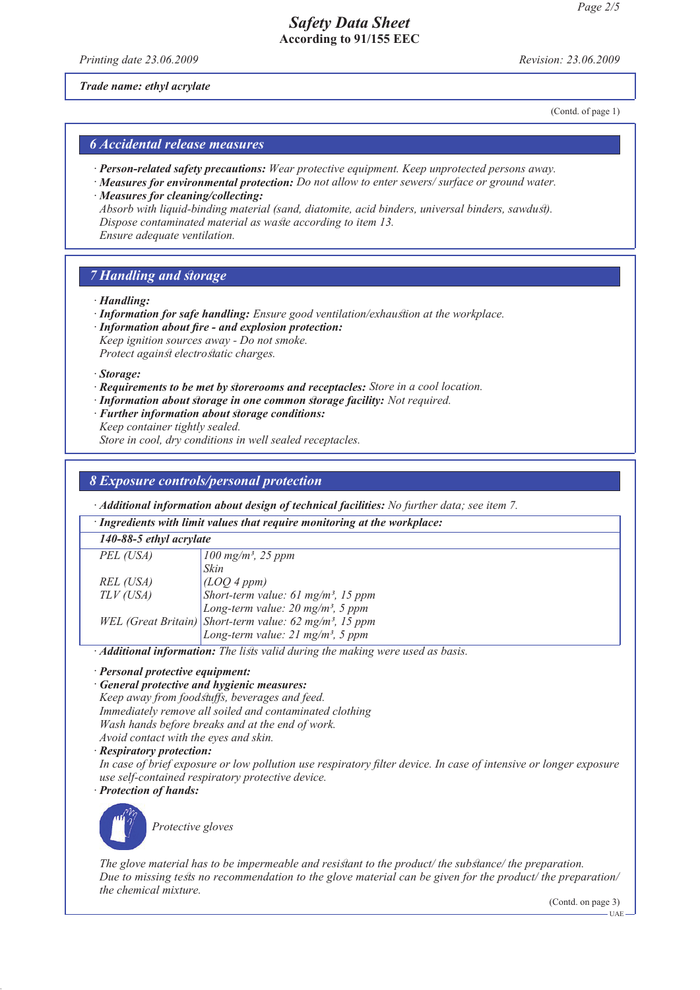*Printing date 23.06.2009 Revision: 23.06.2009*

*Trade name: ethyl acrylate*

(Contd. of page 1)

## *6 Accidental release measures*

- *· Person-related safety precautions: Wear protective equipment. Keep unprotected persons away.*
- *· Measures for environmental protection: Do not allow to enter sewers/ surface or ground water. · Measures for cleaning/collecting:*

*Absorb with liquid-binding material (sand, diatomite, acid binders, universal binders, sawdust). Dispose contaminated material as waste according to item 13.*

*Ensure adequate ventilation.*

## *7 Handling and storage*

*· Handling:*

*· Information for safe handling: Ensure good ventilation/exhaustion at the workplace.*

*· Information about fire - and explosion protection:*

*Keep ignition sources away - Do not smoke. Protect against electrostatic charges.*

*· Storage:*

- *· Requirements to be met by storerooms and receptacles: Store in a cool location.*
- *· Information about storage in one common storage facility: Not required.*
- *· Further information about storage conditions: Keep container tightly sealed.*

*Store in cool, dry conditions in well sealed receptacles.*

## *8 Exposure controls/personal protection*

*· Additional information about design of technical facilities: No further data; see item 7.*

*· Ingredients with limit values that require monitoring at the workplace:*

*140-88-5 ethyl acrylate*

| PEL (USA) | $100$ mg/m <sup>3</sup> , 25 ppm                                                                                                                                                                                                                                                                                                                                              |
|-----------|-------------------------------------------------------------------------------------------------------------------------------------------------------------------------------------------------------------------------------------------------------------------------------------------------------------------------------------------------------------------------------|
|           | Skin                                                                                                                                                                                                                                                                                                                                                                          |
| REL (USA) | (LOQ 4 ppm)                                                                                                                                                                                                                                                                                                                                                                   |
|           |                                                                                                                                                                                                                                                                                                                                                                               |
|           |                                                                                                                                                                                                                                                                                                                                                                               |
|           |                                                                                                                                                                                                                                                                                                                                                                               |
|           | TLV (USA)<br>$\begin{array}{l}\n\downarrow \text{LUCV} \rightarrow \text{Pr} \rightarrow \text{LUCV} \\ \downarrow \text{Short-term value: 61 mg/m³, 15 ppm} \\ \downarrow \text{Long-term value: 20 mg/m³, 5 ppm} \\ \downarrow \text{WEL (Great Britain)}\n\end{array}$<br>Short-term value: 62 mg/m <sup>3</sup> , 15 ppm<br>Long-term value: 21 mg/m <sup>3</sup> , 5 ppm |
|           |                                                                                                                                                                                                                                                                                                                                                                               |

*· Additional information: The lists valid during the making were used as basis.*

*· Personal protective equipment:*

### *· General protective and hygienic measures:*

*Keep away from foodstuffs, beverages and feed. Immediately remove all soiled and contaminated clothing Wash hands before breaks and at the end of work. Avoid contact with the eyes and skin.*

*· Respiratory protection:*

*In case of brief exposure or low pollution use respiratory filter device. In case of intensive or longer exposure use self-contained respiratory protective device.*

*· Protection of hands:*



*Protective gloves*

*The glove material has to be impermeable and resistant to the product/ the substance/ the preparation. Due to missing tests no recommendation to the glove material can be given for the product/ the preparation/ the chemical mixture.*

(Contd. on page 3)

UAE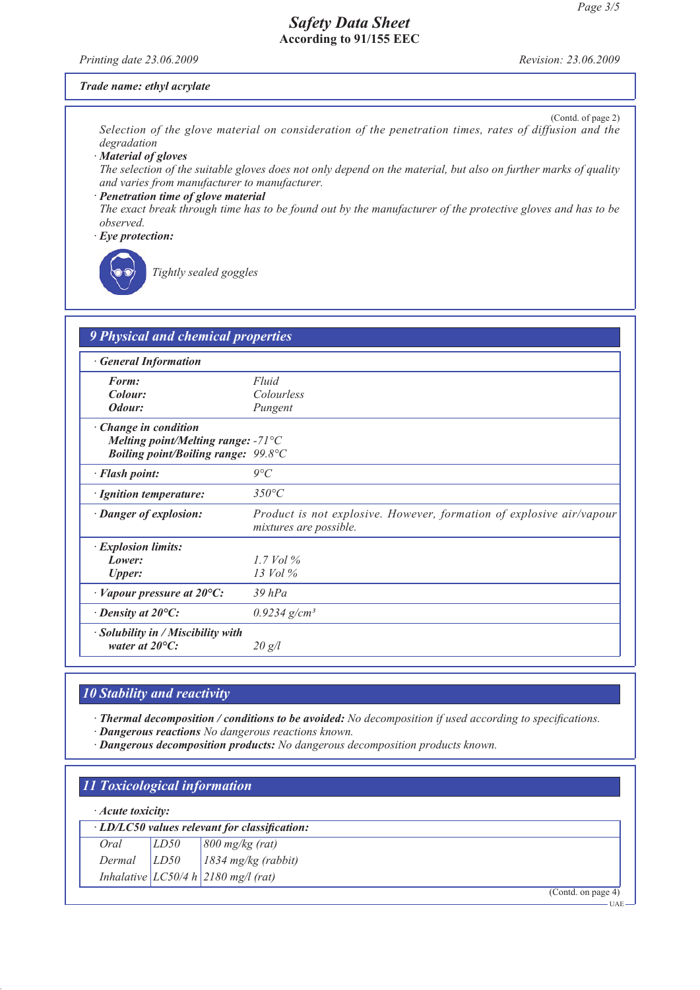*Printing date 23.06.2009 Revision: 23.06.2009*

### *Trade name: ethyl acrylate*

(Contd. of page 2) *Selection of the glove material on consideration of the penetration times, rates of diffusion and the degradation*

*· Material of gloves*

*The selection of the suitable gloves does not only depend on the material, but also on further marks of quality and varies from manufacturer to manufacturer.*

### *· Penetration time of glove material*

*The exact break through time has to be found out by the manufacturer of the protective gloves and has to be observed.*

*· Eye protection:*

*Tightly sealed goggles*

| <b>General Information</b>                                     |                                                                                                |
|----------------------------------------------------------------|------------------------------------------------------------------------------------------------|
| Form:                                                          | Fluid                                                                                          |
| Colour:                                                        | Colourless                                                                                     |
| Odour:                                                         | Pungent                                                                                        |
| · Change in condition                                          |                                                                                                |
| Melting point/Melting range: $-71^{\circ}$ C                   |                                                                                                |
| <b>Boiling point/Boiling range: 99.8°C</b>                     |                                                                                                |
| · Flash point:                                                 | $9^{\circ}C$                                                                                   |
| · Ignition temperature:                                        | $350^{\circ}C$                                                                                 |
| · Danger of explosion:                                         | Product is not explosive. However, formation of explosive air/vapour<br>mixtures are possible. |
| · Explosion limits:                                            |                                                                                                |
| Lower:                                                         | $1.7$ Vol $\%$                                                                                 |
| <b>Upper:</b>                                                  | $13$ Vol $\%$                                                                                  |
| $\cdot$ Vapour pressure at 20 $\circ$ C:                       | $39$ $hPa$                                                                                     |
| $\cdot$ Density at 20 $\mathrm{^{\circ}C:}$                    | $0.9234$ g/cm <sup>3</sup>                                                                     |
| · Solubility in / Miscibility with<br>water at $20^{\circ}$ C: | 20 g/l                                                                                         |

# *10 Stability and reactivity*

*· Thermal decomposition / conditions to be avoided: No decomposition if used according to specifications.*

*· Dangerous reactions No dangerous reactions known.*

*· Dangerous decomposition products: No dangerous decomposition products known.*

# *11 Toxicological information*

### *· Acute toxicity:*

| · LD/LC50 values relevant for classification: |      |                                                                                                               |  |  |
|-----------------------------------------------|------|---------------------------------------------------------------------------------------------------------------|--|--|
| Oral                                          | LD50 |                                                                                                               |  |  |
| Dermal                                        | LDS0 | $\begin{array}{ l } \hline 800 \text{ mg/kg (rat)}\\ \hline 1834 \text{ mg/kg (rabbit)}\\ \hline \end{array}$ |  |  |
|                                               |      | Inhalative $LC50/4 h$ 2180 mg/l (rat)                                                                         |  |  |

(Contd. on page 4)

UAE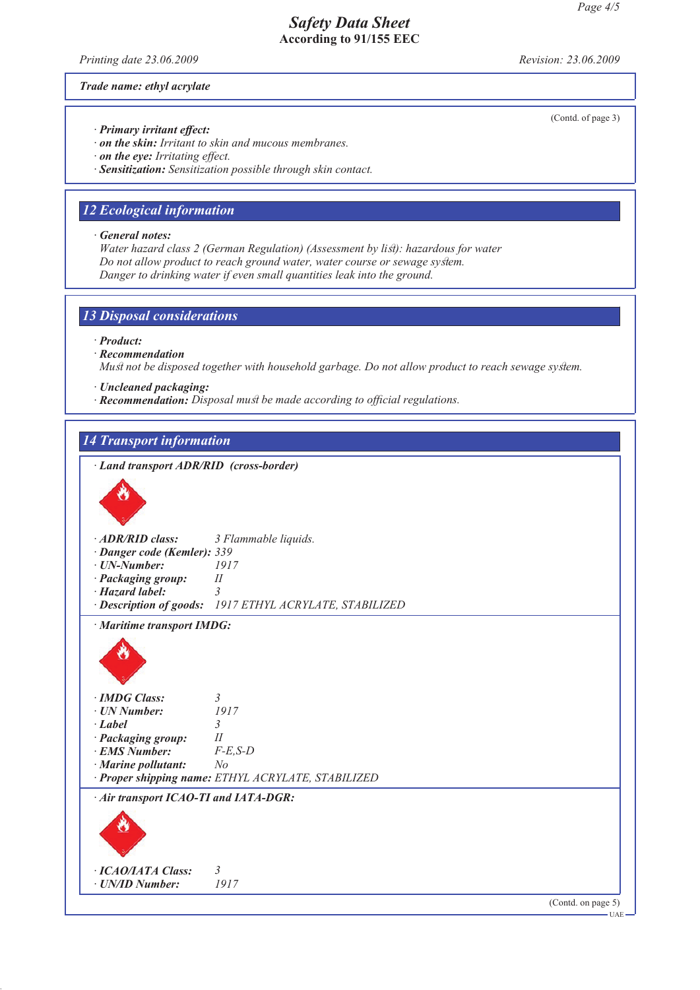*Printing date 23.06.2009 Revision: 23.06.2009*

*Trade name: ethyl acrylate*

*· Primary irritant effect:*

*· on the skin: Irritant to skin and mucous membranes.*

*· on the eye: Irritating effect.*

*· Sensitization: Sensitization possible through skin contact.*

## *12 Ecological information*

*· General notes:*

*Water hazard class 2 (German Regulation) (Assessment by list): hazardous for water Do not allow product to reach ground water, water course or sewage system. Danger to drinking water if even small quantities leak into the ground.*

### *13 Disposal considerations*

*· Product:*

- *· Recommendation*
- *Must not be disposed together with household garbage. Do not allow product to reach sewage system.*
- *· Uncleaned packaging:*
- *· Recommendation: Disposal must be made according to official regulations.*

## *14 Transport information*

*· Land transport ADR/RID (cross-border)*



(Contd. on page 5)

(Contd. of page 3)

UAE